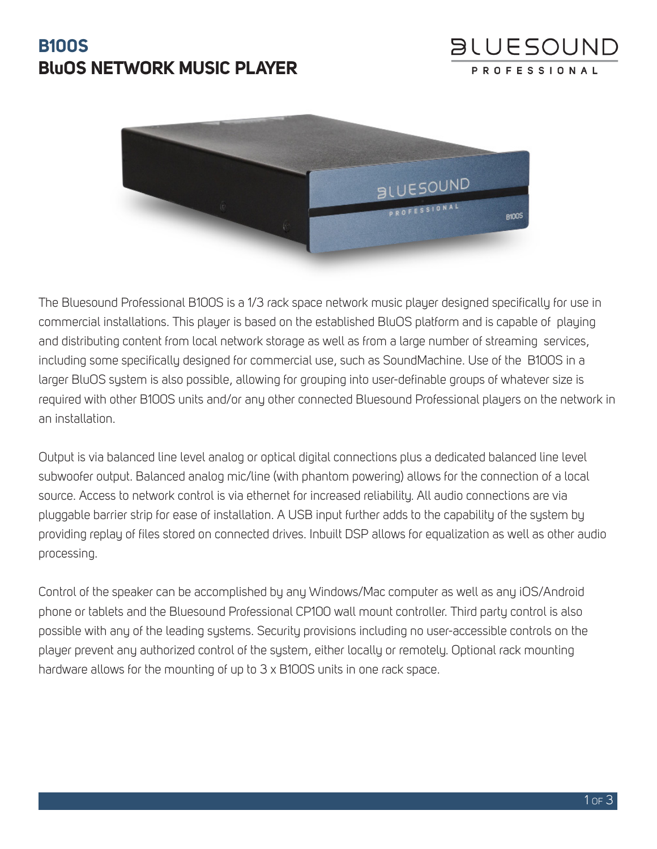# **B100S BluOS NETWORK MUSIC PLAYER**





The Bluesound Professional B100S is a 1/3 rack space network music player designed specifically for use in commercial installations. This player is based on the established BluOS platform and is capable of playing and distributing content from local network storage as well as from a large number of streaming services, including some specifically designed for commercial use, such as SoundMachine. Use of the B100S in a larger BluOS system is also possible, allowing for grouping into user-definable groups of whatever size is required with other B100S units and/or any other connected Bluesound Professional players on the network in an installation.

Output is via balanced line level analog or optical digital connections plus a dedicated balanced line level subwoofer output. Balanced analog mic/line (with phantom powering) allows for the connection of a local source. Access to network control is via ethernet for increased reliability. All audio connections are via pluggable barrier strip for ease of installation. A USB input further adds to the capability of the system by providing replay of files stored on connected drives. Inbuilt DSP allows for equalization as well as other audio processing.

Control of the speaker can be accomplished by any Windows/Mac computer as well as any iOS/Android phone or tablets and the Bluesound Professional CP100 wall mount controller. Third party control is also possible with any of the leading systems. Security provisions including no user-accessible controls on the player prevent any authorized control of the system, either locally or remotely. Optional rack mounting hardware allows for the mounting of up to 3 x B100S units in one rack space.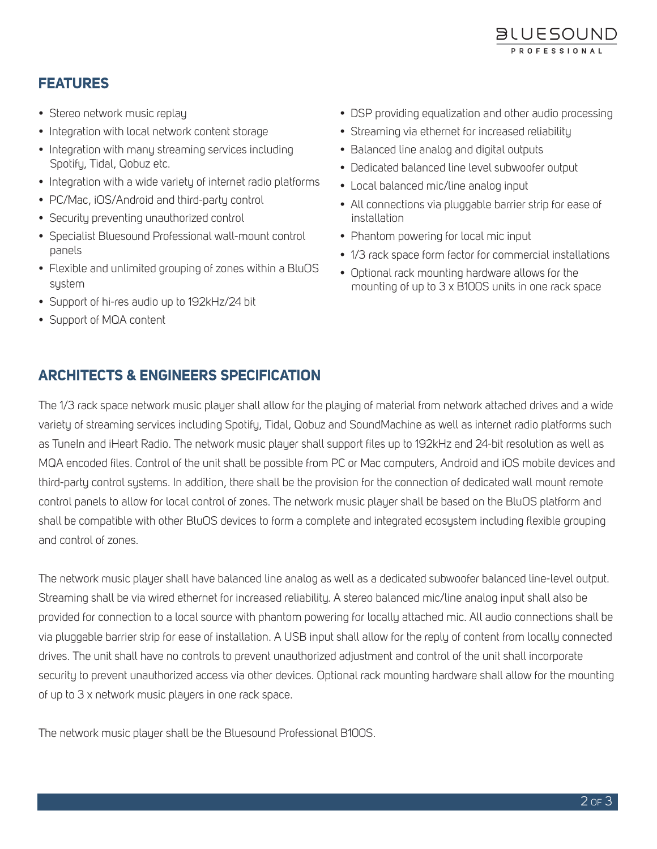

## **FEATURES**

- Stereo network music replay
- Integration with local network content storage
- Integration with many streaming services including Spotify, Tidal, Qobuz etc.
- Integration with a wide variety of internet radio platforms
- PC/Mac, iOS/Android and third-party control
- Security preventing unauthorized control
- Specialist Bluesound Professional wall-mount control panels
- Flexible and unlimited grouping of zones within a BluOS system
- Support of hi-res audio up to 192kHz/24 bit
- Support of MQA content
- DSP providing equalization and other audio processing
- Streaming via ethernet for increased reliability
- Balanced line analog and digital outputs
- Dedicated balanced line level subwoofer output
- Local balanced mic/line analog input
- All connections via pluggable barrier strip for ease of installation
- Phantom powering for local mic input
- 1/3 rack space form factor for commercial installations
- Optional rack mounting hardware allows for the mounting of up to 3 x B100S units in one rack space

#### **ARCHITECTS & ENGINEERS SPECIFICATION**

The 1/3 rack space network music player shall allow for the playing of material from network attached drives and a wide variety of streaming services including Spotify, Tidal, Qobuz and SoundMachine as well as internet radio platforms such as TuneIn and iHeart Radio. The network music player shall support files up to 192kHz and 24-bit resolution as well as MQA encoded files. Control of the unit shall be possible from PC or Mac computers, Android and iOS mobile devices and third-party control systems. In addition, there shall be the provision for the connection of dedicated wall mount remote control panels to allow for local control of zones. The network music player shall be based on the BluOS platform and shall be compatible with other BluOS devices to form a complete and integrated ecosystem including flexible grouping and control of zones.

The network music player shall have balanced line analog as well as a dedicated subwoofer balanced line-level output. Streaming shall be via wired ethernet for increased reliability. A stereo balanced mic/line analog input shall also be provided for connection to a local source with phantom powering for locally attached mic. All audio connections shall be via pluggable barrier strip for ease of installation. A USB input shall allow for the reply of content from locally connected drives. The unit shall have no controls to prevent unauthorized adjustment and control of the unit shall incorporate security to prevent unauthorized access via other devices. Optional rack mounting hardware shall allow for the mounting of up to 3 x network music players in one rack space.

The network music player shall be the Bluesound Professional B100S.